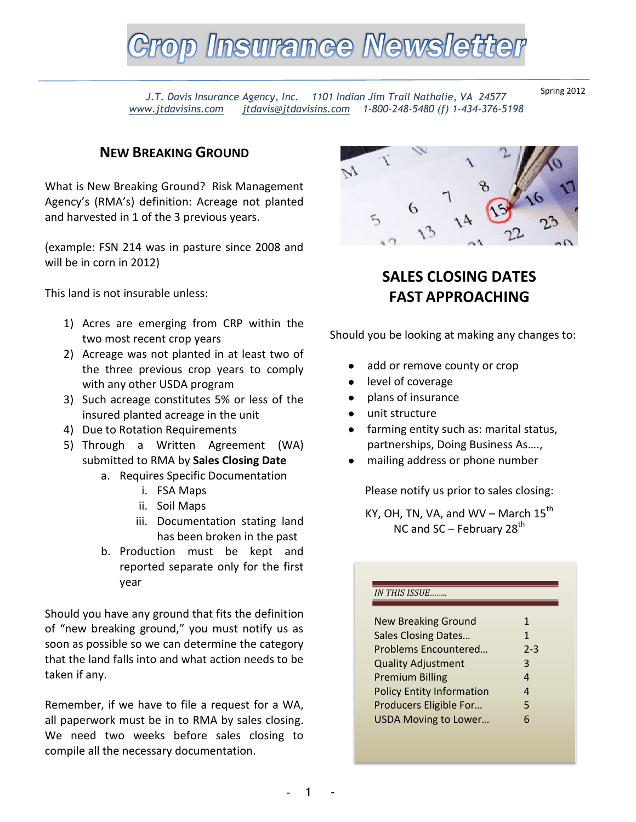

*J.T. Davis Insurance Agency, Inc. 1101 Indian Jim Trail Nathalie, VA 24577 [www.jtdavisins.com](http://www.jtdavisins.com/) [jtdavis@jtdavisins.com](mailto:jtdavis@jtdavisins.com) 1-800-248-5480 (f) 1-434-376-5198*

Spring 2012

## **NEW BREAKING GROUND**

What is New Breaking Ground? Risk Management Agency's (RMA's) definition: Acreage not planted and harvested in 1 of the 3 previous years.

(example: FSN 214 was in pasture since 2008 and will be in corn in 2012)

This land is not insurable unless:

- 1) Acres are emerging from CRP within the two most recent crop years
- 2) Acreage was not planted in at least two of the three previous crop years to comply with any other USDA program
- 3) Such acreage constitutes 5% or less of the insured planted acreage in the unit
- 4) Due to Rotation Requirements
- 5) Through a Written Agreement (WA) submitted to RMA by **Sales Closing Date**
	- a. Requires Specific Documentation
		- i. FSA Maps
		- ii. Soil Maps
		- iii. Documentation stating land has been broken in the past
	- b. Production must be kept and reported separate only for the first year

Should you have any ground that fits the definition of "new breaking ground," you must notify us as soon as possible so we can determine the category that the land falls into and what action needs to be taken if any.

Remember, if we have to file a request for a WA, all paperwork must be in to RMA by sales closing. We need two weeks before sales closing to compile all the necessary documentation.



## **SALES CLOSING DATES FAST APPROACHING**

Should you be looking at making any changes to:

- add or remove county or crop
- level of coverage
- plans of insurance
- unit structure
- farming entity such as: marital status, partnerships, Doing Business As….,
- mailing address or phone number

Please notify us prior to sales closing:

KY, OH, TN, VA, and WV – March  $15^{th}$ NC and  $SC$  – February 28<sup>th</sup>

#### *IN THIS ISSUE……..*

| <b>New Breaking Ground</b>       | 1            |
|----------------------------------|--------------|
| <b>Sales Closing Dates</b>       | $\mathbf{1}$ |
| Problems Encountered             | $2 - 3$      |
| <b>Quality Adjustment</b>        | 3            |
| <b>Premium Billing</b>           | 4            |
| <b>Policy Entity Information</b> | 4            |
| Producers Eligible For           | 5            |
| <b>USDA Moving to Lower</b>      | 6            |
|                                  |              |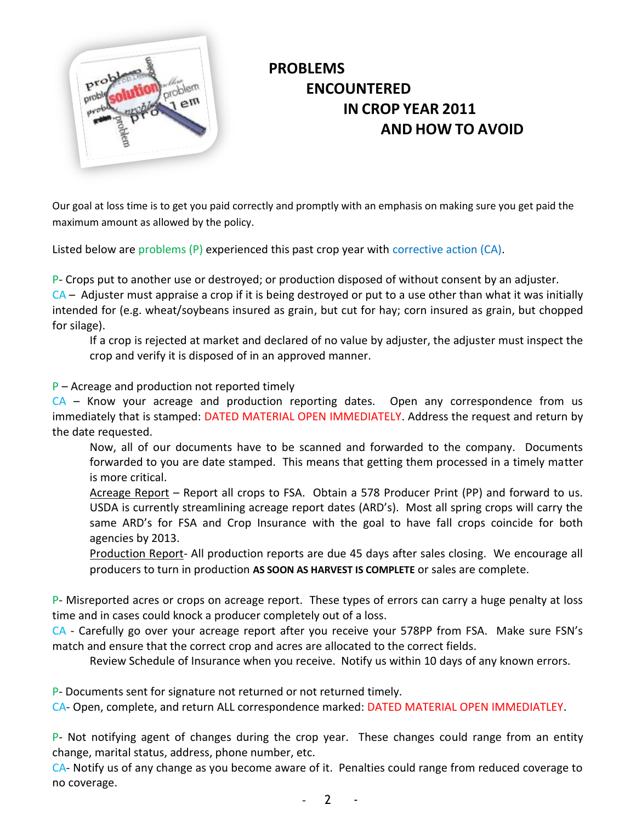

# **PROBLEMS ENCOUNTERED IN CROP YEAR 2011 AND HOW TO AVOID**

Our goal at loss time is to get you paid correctly and promptly with an emphasis on making sure you get paid the maximum amount as allowed by the policy.

Listed below are problems (P) experienced this past crop year with corrective action (CA).

P- Crops put to another use or destroyed; or production disposed of without consent by an adjuster.  $CA -$  Adjuster must appraise a crop if it is being destroyed or put to a use other than what it was initially intended for (e.g. wheat/soybeans insured as grain, but cut for hay; corn insured as grain, but chopped for silage).

If a crop is rejected at market and declared of no value by adjuster, the adjuster must inspect the crop and verify it is disposed of in an approved manner.

 $P$  – Acreage and production not reported timely

 $CA$  – Know your acreage and production reporting dates. Open any correspondence from us immediately that is stamped: DATED MATERIAL OPEN IMMEDIATELY. Address the request and return by the date requested.

Now, all of our documents have to be scanned and forwarded to the company. Documents forwarded to you are date stamped. This means that getting them processed in a timely matter is more critical.

Acreage Report – Report all crops to FSA. Obtain a 578 Producer Print (PP) and forward to us. USDA is currently streamlining acreage report dates (ARD's). Most all spring crops will carry the same ARD's for FSA and Crop Insurance with the goal to have fall crops coincide for both agencies by 2013.

Production Report- All production reports are due 45 days after sales closing. We encourage all producers to turn in production **AS SOON AS HARVEST IS COMPLETE** or sales are complete.

P- Misreported acres or crops on acreage report. These types of errors can carry a huge penalty at loss time and in cases could knock a producer completely out of a loss.

CA - Carefully go over your acreage report after you receive your 578PP from FSA. Make sure FSN's match and ensure that the correct crop and acres are allocated to the correct fields.

Review Schedule of Insurance when you receive. Notify us within 10 days of any known errors.

P- Documents sent for signature not returned or not returned timely.

CA- Open, complete, and return ALL correspondence marked: DATED MATERIAL OPEN IMMEDIATLEY.

P- Not notifying agent of changes during the crop year. These changes could range from an entity change, marital status, address, phone number, etc.

CA- Notify us of any change as you become aware of it. Penalties could range from reduced coverage to no coverage.

 $\overline{2}$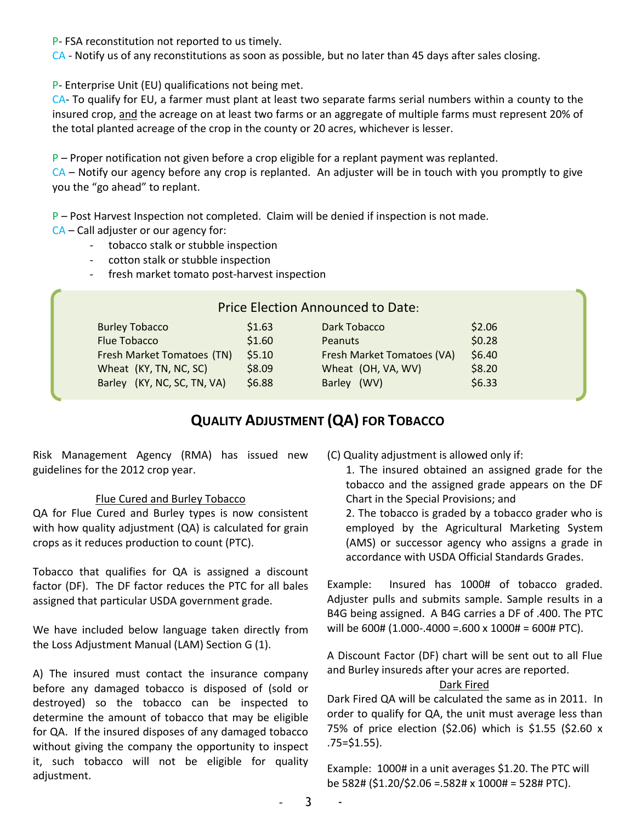P- FSA reconstitution not reported to us timely.

CA - Notify us of any reconstitutions as soon as possible, but no later than 45 days after sales closing.

P- Enterprise Unit (EU) qualifications not being met.

CA- To qualify for EU, a farmer must plant at least two separate farms serial numbers within a county to the insured crop, and the acreage on at least two farms or an aggregate of multiple farms must represent 20% of the total planted acreage of the crop in the county or 20 acres, whichever is lesser.

 $P$  – Proper notification not given before a crop eligible for a replant payment was replanted.

 $CA$  – Notify our agency before any crop is replanted. An adjuster will be in touch with you promptly to give you the "go ahead" to replant.

 $P$  – Post Harvest Inspection not completed. Claim will be denied if inspection is not made. CA – Call adjuster or our agency for:

- tobacco stalk or stubble inspection
- cotton stalk or stubble inspection
- fresh market tomato post-harvest inspection

|                             |        | <b>Price Election Announced to Date:</b> |        |
|-----------------------------|--------|------------------------------------------|--------|
| <b>Burley Tobacco</b>       | \$1.63 | Dark Tobacco                             | \$2.06 |
| <b>Flue Tobacco</b>         | \$1.60 | <b>Peanuts</b>                           | \$0.28 |
| Fresh Market Tomatoes (TN)  | \$5.10 | Fresh Market Tomatoes (VA)               | \$6.40 |
| Wheat (KY, TN, NC, SC)      | \$8.09 | Wheat (OH, VA, WV)                       | \$8.20 |
| Barley (KY, NC, SC, TN, VA) | \$6.88 | Barley (WV)                              | \$6.33 |
|                             |        |                                          |        |

## **QUALITY ADJUSTMENT (QA) FOR TOBACCO**

Risk Management Agency (RMA) has issued new guidelines for the 2012 crop year.

### Flue Cured and Burley Tobacco

QA for Flue Cured and Burley types is now consistent with how quality adjustment (QA) is calculated for grain crops as it reduces production to count (PTC).

Tobacco that qualifies for QA is assigned a discount factor (DF). The DF factor reduces the PTC for all bales assigned that particular USDA government grade.

We have included below language taken directly from the Loss Adjustment Manual (LAM) Section G (1).

A) The insured must contact the insurance company before any damaged tobacco is disposed of (sold or destroyed) so the tobacco can be inspected to determine the amount of tobacco that may be eligible for QA. If the insured disposes of any damaged tobacco without giving the company the opportunity to inspect it, such tobacco will not be eligible for quality adjustment.

(C) Quality adjustment is allowed only if:

1. The insured obtained an assigned grade for the tobacco and the assigned grade appears on the DF Chart in the Special Provisions; and

2. The tobacco is graded by a tobacco grader who is employed by the Agricultural Marketing System (AMS) or successor agency who assigns a grade in accordance with USDA Official Standards Grades.

Example: Insured has 1000# of tobacco graded. Adjuster pulls and submits sample. Sample results in a B4G being assigned. A B4G carries a DF of .400. The PTC will be 600# (1.000-.4000 =.600 x 1000# = 600# PTC).

A Discount Factor (DF) chart will be sent out to all Flue and Burley insureds after your acres are reported.

#### Dark Fired

Dark Fired QA will be calculated the same as in 2011. In order to qualify for QA, the unit must average less than 75% of price election (\$2.06) which is \$1.55 (\$2.60 x  $.75 = $1.55$ ).

Example: 1000# in a unit averages \$1.20. The PTC will be 582# (\$1.20/\$2.06 =.582# x 1000# = 528# PTC).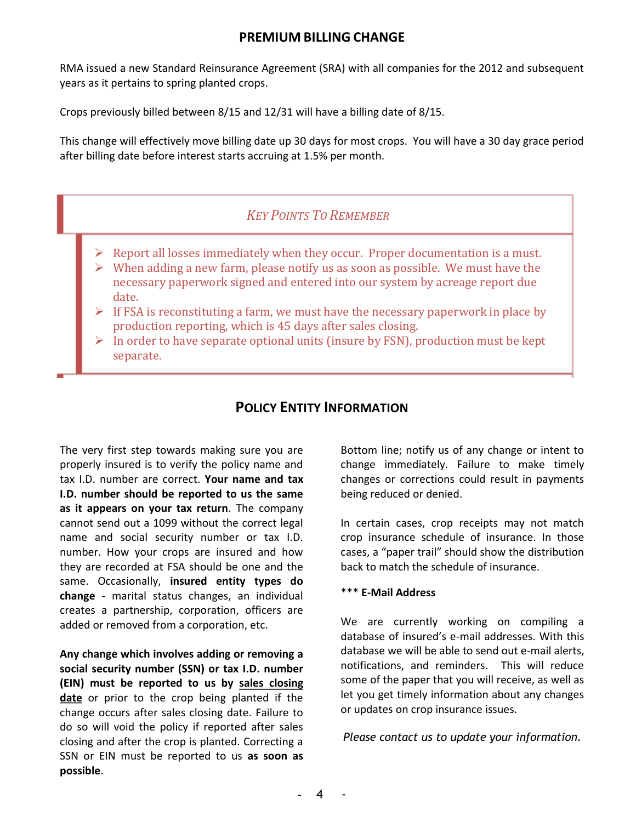## **PREMIUM BILLING CHANGE**

RMA issued a new Standard Reinsurance Agreement (SRA) with all companies for the 2012 and subsequent years as it pertains to spring planted crops.

Crops previously billed between 8/15 and 12/31 will have a billing date of 8/15.

This change will effectively move billing date up 30 days for most crops. You will have a 30 day grace period after billing date before interest starts accruing at 1.5% per month.

## *KEY POINTS TO REMEMBER*

- $\triangleright$  Report all losses immediately when they occur. Proper documentation is a must.
- $\triangleright$  When adding a new farm, please notify us as soon as possible. We must have the necessary paperwork signed and entered into our system by acreage report due date.
- $\triangleright$  If FSA is reconstituting a farm, we must have the necessary paperwork in place by production reporting, which is 45 days after sales closing.
- $\triangleright$  In order to have separate optional units (insure by FSN), production must be kept separate.

## **POLICY ENTITY INFORMATION**

The very first step towards making sure you are properly insured is to verify the policy name and tax I.D. number are correct. **Your name and tax I.D. number should be reported to us the same as it appears on your tax return**. The company cannot send out a 1099 without the correct legal name and social security number or tax I.D. number. How your crops are insured and how they are recorded at FSA should be one and the same. Occasionally, **insured entity types do change** - marital status changes, an individual creates a partnership, corporation, officers are added or removed from a corporation, etc.

**Any change which involves adding or removing a social security number (SSN) or tax I.D. number (EIN) must be reported to us by sales closing date** or prior to the crop being planted if the change occurs after sales closing date. Failure to do so will void the policy if reported after sales closing and after the crop is planted. Correcting a SSN or EIN must be reported to us **as soon as possible**.

Bottom line; notify us of any change or intent to change immediately. Failure to make timely changes or corrections could result in payments being reduced or denied.

In certain cases, crop receipts may not match crop insurance schedule of insurance. In those cases, a "paper trail" should show the distribution back to match the schedule of insurance.

#### \*\*\* **E-Mail Address**

We are currently working on compiling a database of insured's e-mail addresses. With this database we will be able to send out e-mail alerts, notifications, and reminders. This will reduce some of the paper that you will receive, as well as let you get timely information about any changes or updates on crop insurance issues.

*Please contact us to update your information.*

 $\overline{\bf 4}$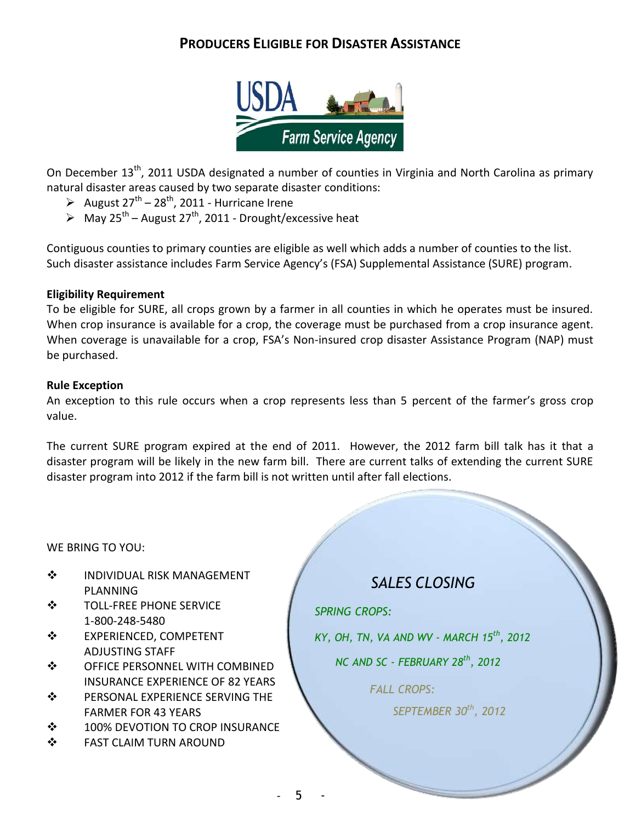## **PRODUCERS ELIGIBLE FOR DISASTER ASSISTANCE**



On December 13<sup>th</sup>, 2011 USDA designated a number of counties in Virginia and North Carolina as primary natural disaster areas caused by two separate disaster conditions:

- August  $27^{th}$   $28^{th}$ , 2011 Hurricane Irene
- $\triangleright$  May 25<sup>th</sup> August 27<sup>th</sup>, 2011 Drought/excessive heat

Contiguous counties to primary counties are eligible as well which adds a number of counties to the list. Such disaster assistance includes Farm Service Agency's (FSA) Supplemental Assistance (SURE) program.

#### **Eligibility Requirement**

To be eligible for SURE, all crops grown by a farmer in all counties in which he operates must be insured. When crop insurance is available for a crop, the coverage must be purchased from a crop insurance agent. When coverage is unavailable for a crop, FSA's Non-insured crop disaster Assistance Program (NAP) must be purchased.

#### **Rule Exception**

An exception to this rule occurs when a crop represents less than 5 percent of the farmer's gross crop value.

The current SURE program expired at the end of 2011. However, the 2012 farm bill talk has it that a disaster program will be likely in the new farm bill. There are current talks of extending the current SURE disaster program into 2012 if the farm bill is not written until after fall elections.

WE BRING TO YOU:

- $\div$  INDIVIDUAL RISK MANAGEMENT PLANNING
- TOLL-FREE PHONE SERVICE 1-800-248-5480
- EXPERIENCED, COMPETENT ADJUSTING STAFF
- **❖ OFFICE PERSONNEL WITH COMBINED** INSURANCE EXPERIENCE OF 82 YEARS
- **❖ PERSONAL EXPERIENCE SERVING THE** FARMER FOR 43 YEARS
- **❖ 100% DEVOTION TO CROP INSURANCE**
- **❖ FAST CLAIM TURN AROUND**

*SALES CLOSING*

*SPRING CROPS:*

*KY, OH, TN, VA AND WV - MARCH 15th, 2012* 

 *NC AND SC - FEBRUARY 28th, 2012*

 *FALL CROPS:*

*SEPTEMBER 30th, 2012*

5